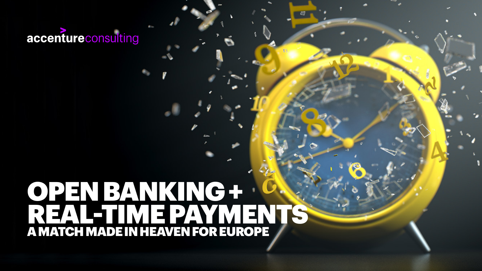# accentureconsulting

# OPEN BANKING + REAL-TIME PAYMENTS A MATCH MADE IN HEAVEN FOR EUROPE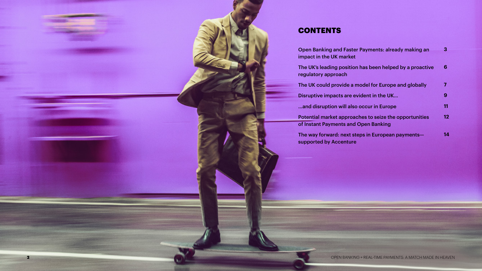

### **CONTENTS**

Open Banking and Faster Payments: already making an impact in the UK market **3** 

The UK's leading position has been helped by a proactive regulatory approach **6**

| The UK could provide a model for Europe and globally<br>Disruptive impacts are evident in the UK<br>and disruption will also occur in Europe<br>Potential market approaches to seize the opportunities<br>of Instant Payments and Open Banking<br>The way forward: next steps in European payments-<br>supported by Accenture | 9<br>11<br>12. |    |
|-------------------------------------------------------------------------------------------------------------------------------------------------------------------------------------------------------------------------------------------------------------------------------------------------------------------------------|----------------|----|
|                                                                                                                                                                                                                                                                                                                               |                | 14 |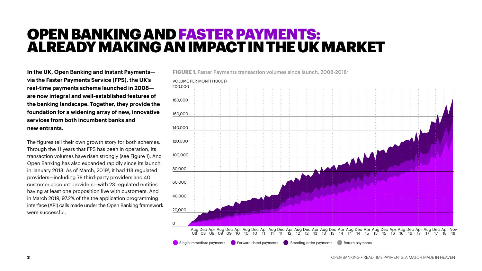### OPEN BANKING AND FASTER PAYMENTS: ALREADY MAKING AN IMPACT IN THE UK MARKET

**In the UK, Open Banking and Instant Payments via the Faster Payments Service (FPS), the UK's real-time payments scheme launched in 2008 are now integral and well-established features of the banking landscape. Together, they provide the foundation for a widening array of new, innovative services from both incumbent banks and new entrants.** 

The figures tell their own growth story for both schemes. Through the 11 years that FPS has been in operation, its transaction volumes have risen strongly (see Figure 1). And Open Banking has also expanded rapidly since its launch in January 2018. As of March, 20191 , it had 118 regulated providers—including 78 third-party providers and 40 customer account providers—with 23 regulated entities having at least one proposition live with customers. And in March 2019, 97.2% of the the application programming interface (API) calls made under the Open Banking framework were successful.

**FIGURE 1.** Faster Payments transaction volumes since launch, 2008-20182

#### VOLUME PER MONTH (000s)



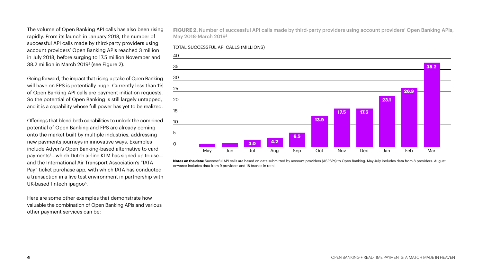The volume of Open Banking API calls has also been rising rapidly. From its launch in January 2018, the number of successful API calls made by third-party providers using account providers' Open Banking APIs reached 3 million in July 2018, before surging to 17.5 million November and 38.2 million in March 20192 (see Figure 2).

Going forward, the impact that rising uptake of Open Banking will have on FPS is potentially huge. Currently less than 1% of Open Banking API calls are payment initiation requests. So the potential of Open Banking is still largely untapped, and it is a capability whose full power has yet to be realized.

Offerings that blend both capabilities to unlock the combined potential of Open Banking and FPS are already coming onto the market built by multiple industries, addressing new payments journeys in innovative ways. Examples include Adyen's Open Banking-based alternative to card payments4—which Dutch airline KLM has signed up to use and the International Air Transport Association's "IATA Pay" ticket purchase app, with which IATA has conducted a transaction in a live test environment in partnership with UK-based fintech ipagoo<sup>5</sup>.

Here are some other examples that demonstrate how valuable the combination of Open Banking APIs and various other payment services can be:

**FIGURE 2.** Number of successful API calls made by third-party providers using account providers' Open Banking APIs, May 2018-March 20193

#### TOTAL SUCCESSFUL API CALLS (MILLIONS)



**Notes on the data:** Successful API calls are based on data submitted by account providers (ASPSPs) to Open Banking. May-July includes data from 8 providers. August onwards includes data from 9 providers and 16 brands in total.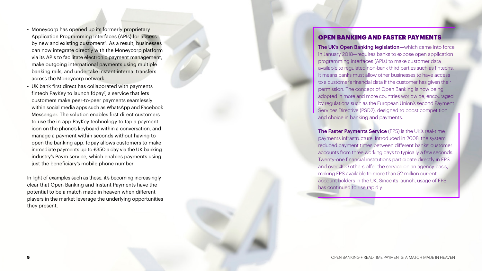- Application Programming Interfaces (APIs) for access by new and existing customers 6. As a result, businesses can now integrate directly with the Moneycorp platform via its APIs to facilitate electronic payment management, make outgoing international payments using multiple banking rails, and undertake instant internal transfers across the Moneycorp network.
- Since the control of the state of the state of the state of the state of the state of the state of the state of the state of the state of the state of the state of the state of the state of the state of the state of the st • UK bank first direct has collaborated with payments fintech PayKey to launch fdpay 7 , a service that lets customers make peer-to-peer payments seamlessly within social media apps such as WhatsApp and Facebook Messenger. The solution enables first direct customers to use the in-app PayKey technology to tap a payment icon on the phone's keyboard within a conversation, and manage a payment within seconds without having to open the banking app. fdpay allows customers to make immediate payments up to £350 a day via the UK banking industry's Paym service, which enables payments using just the beneficiary's mobile phone number.

In light of examples such as these, it's becoming increasingly clear that Open Banking and Instant Payments have the potential to be a match made in heaven when different players in the market leverage the underlying opportunities they present.

### OPEN BANKING AND FASTER PAYMENTS

The UK's Open Banking legislation—which came into force in January 2018—requires banks to expose open application programming interfaces (APIs) to make customer data available to regulated non-bank third parties such as fintechs. It means banks must allow other businesses to have access to a customer's financial data if the customer has given their permission. The concept of Open Banking is now being adopted in more and more countries worldwide, encouraged by regulations such as the European Union's second Payment Services Directive (PSD2), designed to boost competition and choice in banking and payments.

The Faster Payments Service (FPS) is the UK's real-time payments infrastructure. Introduced in 2008, the system reduced payment times between different banks' customer accounts from three working days to typically a few seconds. Twenty-one financial institutions participate directly in FPS and over 400 others offer the service on an agency basis, making FPS available to more than 52 million current account holders in the UK. Since its launch, usage of FPS has continued to rise rapidly.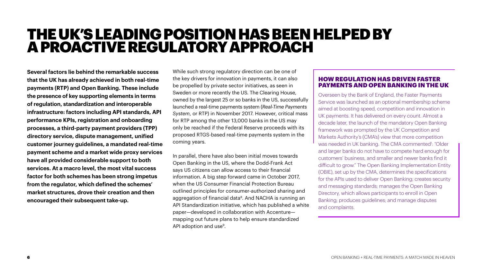### THE UK'S LEADING POSITION HAS BEEN HELPED BY A PROACTIVE REGULATORY APPROACH

**Several factors lie behind the remarkable success that the UK has already achieved in both real-time payments (RTP) and Open Banking. These include the presence of key supporting elements in terms of regulation, standardization and interoperable infrastructure: factors including API standards, API performance KPIs, registration and onboarding processes, a third-party payment providers (TPP) directory service, dispute management, unified customer journey guidelines, a mandated real-time payment scheme and a market wide proxy services have all provided considerable support to both services. At a macro level, the most vital success factor for both schemes has been strong impetus from the regulator, which defined the schemes' market structures, drove their creation and then encouraged their subsequent take-up.** 

While such strong regulatory direction can be one of the key drivers for innovation in payments, it can also be propelled by private sector initiatives, as seen in Sweden or more recently the US. The Clearing House, owned by the largest 25 or so banks in the US, successfully launched a real-time payments system (*Real-Time Payments System*, or RTP) in November 2017. However, critical mass for RTP among the other 13,000 banks in the US may only be reached if the Federal Reserve proceeds with its proposed RTGS-based real-time payments system in the coming years.

In parallel, there have also been initial moves towards Open Banking in the US, where the Dodd-Frank Act says US citizens can allow access to their financial information. A big step forward came in October 2017, when the US Consumer Financial Protection Bureau outlined principles for consumer-authorized sharing and aggregation of financial data<sup>8</sup>. And NACHA is running an API Standardization initiative, which has published a white paper—developed in collaboration with Accenture mapping out future plans to help ensure standardized API adoption and use<sup>9</sup>.

#### HOW REGULATION HAS DRIVEN FASTER PAYMENTS AND OPEN BANKING IN THE UK

Overseen by the Bank of England, the Faster Payments Service was launched as an optional membership scheme aimed at boosting speed, competition and innovation in UK payments. It has delivered on every count. Almost a decade later, the launch of the mandatory Open Banking framework was prompted by the UK Competition and Markets Authority's (CMA's) view that more competition was needed in UK banking. The CMA commented<sup>1</sup>: "Older and larger banks do not have to compete hard enough for customers' business, and smaller and newer banks find it difficult to grow." The Open Banking Implementation Entity (OBIE), set up by the CMA, determines the specifications for the APIs used to deliver Open Banking; creates security and messaging standards; manages the Open Banking Directory, which allows participants to enroll in Open Banking; produces guidelines; and manage disputes and complaints.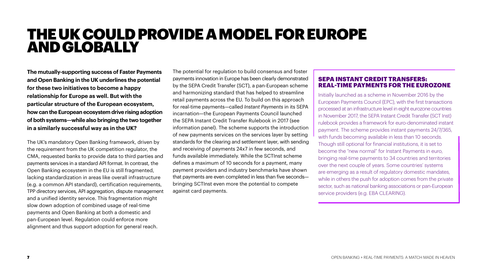### THE UK COULD PROVIDE A MODEL FOR EUROPE AND GLOBALLY

**The mutually-supporting success of Faster Payments and Open Banking in the UK underlines the potential for these two initiatives to become a happy relationship for Europe as well. But with the particular structure of the European ecosystem, how can the European ecosystem drive rising adoption of both systems—while also bringing the two together in a similarly successful way as in the UK?**

The UK's mandatory Open Banking framework, driven by the requirement from the UK competition regulator, the CMA, requested banks to provide data to third parties and payments services in a standard API format. In contrast, the Open Banking ecosystem in the EU is still fragmented, lacking standardization in areas like overall infrastructure (e.g. a common API standard), certification requirements, TPP directory services, API aggregation, dispute management and a unified identity service. This fragmentation might slow down adoption of combined usage of real-time payments and Open Banking at both a domestic and pan-European level. Regulation could enforce more alignment and thus support adoption for general reach.

The potential for regulation to build consensus and foster payments innovation in Europe has been clearly demonstrated by the SEPA Credit Transfer (SCT), a pan-European scheme and harmonizing standard that has helped to streamline retail payments across the EU. To build on this approach for real-time payments—called *Instant Payments* in its SEPA incarnation—the European Payments Council launched the SEPA Instant Credit Transfer Rulebook in 2017 (see information panel). The scheme supports the introduction of new payments services on the services layer by setting standards for the clearing and settlement layer, with sending and receiving of payments 24x7 in few seconds, and funds available immediately. While the SCTInst scheme defines a maximum of 10 seconds for a payment, many payment providers and industry benchmarks have shown that payments are even completed in less than five seconds bringing SCTInst even more the potential to compete against card payments.

### SEPA INSTANT CREDIT TRANSFERS: REAL-TIME PAYMENTS FOR THE EUROZONE

Initially launched as a scheme in November 2016 by the European Payments Council (EPC), with the first transactions processed at an infrastructure level in eight eurozone countries in November 2017, the SEPA Instant Credit Transfer (SCT Inst) rulebook provides a framework for euro-denominated instant payment. The scheme provides instant payments 24/7/365, with funds becoming available in less than 10 seconds. Though still optional for financial institutions, it is set to become the "new normal" for Instant Payments in euro, bringing real-time payments to 34 countries and territories over the next couple of years. Some countries' systems are emerging as a result of regulatory domestic mandates, while in others the push for adoption comes from the private sector, such as national banking associations or pan-European service providers (e.g. EBA CLEARING).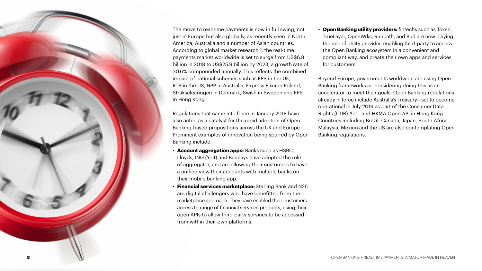

The move to real-time payments is now in full swing, not just in Europe but also globally, as recently seen in North America, Australia and a number of Asian countries. According to global market research<sup>10</sup>, the real-time payments market worldwide is set to surge from US\$6.8 billion in 2018 to US\$25.9 billion by 2023, a growth rate of 30.6% compounded annually. This reflects the combined impact of national schemes such as FPS in the UK, RTP in the US, NPP in Australia, Express Elixir in Poland, Straksclearingen in Denmark, Swish in Sweden and FPS in Hong Kong.

Regulations that came into force in January 2018 have also acted as a catalyst for the rapid adoption of Open Banking-based propositions across the UK and Europe. Prominent examples of innovation being spurred by Open Banking include:

- **Account aggregation apps:** Banks such as HSBC, Lloyds, ING (Yolt) and Barclays have adopted the role of aggregator, and are allowing their customers to have a unified view their accounts with multiple banks on their mobile banking app.
- **Financial services marketplace:** Starling Bank and N26 are digital challengers who have benefitted from the marketplace approach. They have enabled their customers access to range of financial services products, using their open APIs to allow third-party services to be accessed from within their own platforms.

• **Open Banking utility providers:** fintechs such as Token, TrueLayer, OpenWrks, Runpath, and Bud are now playing the role of utility provider, enabling third-party to access the Open Banking ecosystem in a convenient and compliant way, and create their own apps and services for customers.

Beyond Europe, governments worldwide are using Open Banking frameworks or considering doing this as an accelerator to meet their goals. Open Banking regulations already in force include Australia's Treasury—set to become operational in July 2019 as part of the Consumer Data Rights (CDR) Act—and HKMA Open API in Hong Kong. Countries including Brazil, Canada, Japan, South Africa, Malaysia, Mexico and the US are also contemplating Open Banking regulations.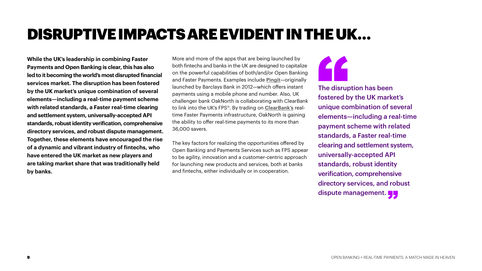# DISRUPTIVE IMPACTS ARE EVIDENT IN THE UK…

**While the UK's leadership in combining Faster Payments and Open Banking is clear, this has also led to it becoming the world's most disrupted financial services market. The disruption has been fostered by the UK market's unique combination of several elements—including a real-time payment scheme with related standards, a Faster real-time clearing and settlement system, universally-accepted API standards, robust identity verification, comprehensive directory services, and robust dispute management. Together, these elements have encouraged the rise of a dynamic and vibrant industry of fintechs, who have entered the UK market as new players and are taking market share that was traditionally held by banks.**

More and more of the apps that are being launched by both fintechs and banks in the UK are designed to capitalize on the powerful capabilities of both/and/or Open Banking and Faster Payments. Examples include **[Pingit](https://www.pingit.com/pay-someone/)**—originally launched by Barclays Bank in 2012—which offers instant payments using a mobile phone and number. Also, UK challenger bank OakNorth is collaborating with ClearBank to link into the UK's FPS11. By trading on **[ClearBank's](https://www.altfi.com/companies/clearbank)** realtime Faster Payments infrastructure, OakNorth is gaining the ability to offer real-time payments to its more than 36,000 savers.

The key factors for realizing the opportunities offered by Open Banking and Payments Services such as FPS appear to be agility, innovation and a customer-centric approach for launching new products and services, both at banks and fintechs, either individually or in cooperation.

The disruption has been fostered by the UK market's unique combination of several elements—including a real-time payment scheme with related standards, a Faster real-time clearing and settlement system, universally-accepted API standards, robust identity verification, comprehensive directory services, and robust dispute management. <mark>JJ</mark> The disruptor of the disruptor of the state of the state of the state of the state of the state of the state of the state of the state of the state of the state of the state of the state of the state of the state of the st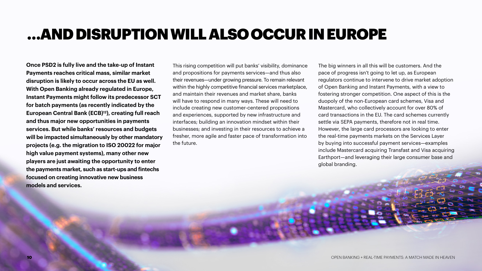## …AND DISRUPTION WILL ALSO OCCUR IN EUROPE

**Once PSD2 is fully live and the take-up of Instant Payments reaches critical mass, similar market disruption is likely to occur across the EU as well. With Open Banking already regulated in Europe, Instant Payments might follow its predecessor SCT for batch payments (as recently indicated by the European Central Bank (ECB)12), creating full reach and thus major new opportunities in payments services. But while banks' resources and budgets will be impacted simultaneously by other mandatory projects (e.g. the migration to ISO 20022 for major high value payment systems), many other new players are just awaiting the opportunity to enter the payments market, such as start-ups and fintechs focused on creating innovative new business models and services.** 

This rising competition will put banks' visibility, dominance and propositions for payments services—and thus also their revenues—under growing pressure. To remain relevant within the highly competitive financial services marketplace, and maintain their revenues and market share, banks will have to respond in many ways. These will need to include creating new customer-centered propositions and experiences, supported by new infrastructure and interfaces; building an innovation mindset within their businesses; and investing in their resources to achieve a fresher, more agile and faster pace of transformation into the future.

The big winners in all this will be customers. And the pace of progress isn't going to let up, as European regulators continue to intervene to drive market adoption of Open Banking and Instant Payments, with a view to fostering stronger competition. One aspect of this is the duopoly of the non-European card schemes, Visa and Mastercard, who collectively account for over 80% of card transactions in the EU. The card schemes currently settle via SEPA payments, therefore not in real time. However, the large card processors are looking to enter the real-time payments markets on the Services Layer by buying into successful payment services—examples include Mastercard acquiring Transfast and Visa acquiring Earthport—and leveraging their large consumer base and global branding.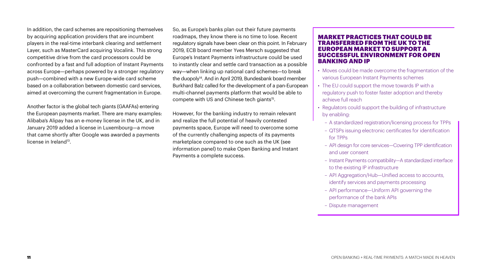In addition, the card schemes are repositioning themselves by acquiring application providers that are incumbent players in the real-time interbank clearing and settlement Layer, such as MasterCard acquiring Vocalink. This strong competitive drive from the card processors could be confronted by a fast and full adoption of Instant Payments across Europe—perhaps powered by a stronger regulatory push—combined with a new Europe-wide card scheme based on a collaboration between domestic card services, aimed at overcoming the current fragmentation in Europe.

Another factor is the global tech giants (GAAFAs) entering the European payments market. There are many examples: Alibaba's Alipay has an e-money license in the UK, and in January 2019 added a license in Luxembourg—a move that came shortly after Google was awarded a payments license in Ireland<sup>13</sup>.

So, as Europe's banks plan out their future payments roadmaps, they know there is no time to lose. Recent regulatory signals have been clear on this point. In February 2019, ECB board member Yves Mersch suggested that Europe's Instant Payments infrastructure could be used to instantly clear and settle card transaction as a possible way—when linking up national card schemes—to break the duopoly<sup>14</sup>. And in April 2019, Bundesbank board member Burkhard Balz called for the development of a pan-European multi-channel payments platform that would be able to compete with US and Chinese tech giants<sup>15</sup>.

However, for the banking industry to remain relevant and realize the full potential of heavily contested payments space, Europe will need to overcome some of the currently challenging aspects of its payments marketplace compared to one such as the UK (see information panel) to make Open Banking and Instant Payments a complete success.

#### MARKET PRACTICES THAT COULD BE TRANSFERRED FROM THE UK TO THE EUROPEAN MARKET TO SUPPORT A SUCCESSFUL ENVIRONMENT FOR OPEN BANKING AND IP

- Moves could be made overcome the fragmentation of the various European Instant Payments schemes
- The EU could support the move towards IP with a regulatory push to foster faster adoption and thereby achieve full reach
- Regulators could support the building of infrastructure by enabling:
	- A standardized registration/licensing process for TPPs
	- QTSPs issuing electronic certificates for identification for TPPs
	- API design for core services—Covering TPP identification and user consent
	- Instant Payments compatibility—A standardized interface to the existing IP infrastructure
	- API Aggregation/Hub—Unified access to accounts, identify services and payments processing
	- API performance—Uniform API governing the performance of the bank APIs
	- Dispute management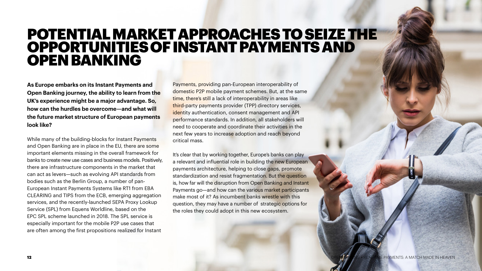### POTENTIAL MARKET APPROACHES TO SEIZE THE OPPORTUNITIES OF INSTANT PAYMENTS AND OPEN BANKING

**As Europe embarks on its Instant Payments and Open Banking journey, the ability to learn from the UK's experience might be a major advantage. So, how can the hurdles be overcome—and what will the future market structure of European payments look like?**

While many of the building-blocks for Instant Payments and Open Banking are in place in the EU, there are some important elements missing in the overall framework for banks to create new use cases and business models. Positively, there are infrastructure components in the market that can act as levers—such as evolving API standards from bodies such as the Berlin Group, a number of pan-European Instant Payments Systems like RT1 from EBA CLEARING and TIPS from the ECB, emerging aggregation services, and the recently-launched SEPA Proxy Lookup Service (SPL) from Equens Worldline, based on the EPC SPL scheme launched in 2018. The SPL service is especially important for the mobile P2P use cases that are often among the first propositions realized for Instant

Payments, providing pan-European interoperability of domestic P2P mobile payment schemes. But, at the same time, there's still a lack of interoperability in areas like third-party payments provider (TPP) directory services, identity authentication, consent management and API performance standards. In addition, all stakeholders will need to cooperate and coordinate their activities in the next few years to increase adoption and reach beyond critical mass.

It's clear that by working together, Europe's banks can play a relevant and influential role in building the new European payments architecture, helping to close gaps, promote standardization and resist fragmentation. But the question is, how far will the disruption from Open Banking and Instant Payments go—and how can the various market participants make most of it? As incumbent banks wrestle with this question, they may have a number of strategic options for the roles they could adopt in this new ecosystem.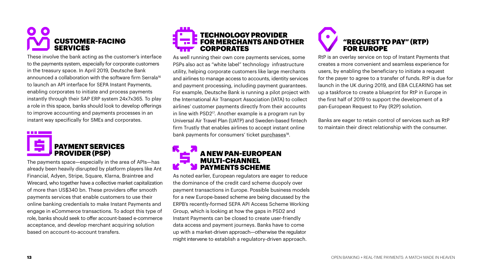

These involve the bank acting as the customer's interface to the payments system, especially for corporate customers in the treasury space. In April 2019, Deutsche Bank announced a collaboration with the software firm Serrala<sup>16</sup> to launch an API interface for SEPA Instant Payments, enabling corporates to initiate and process payments instantly through their SAP ERP system 24x7x365. To play a role in this space, banks should look to develop offerings to improve accounting and payments processes in an instant way specifically for SMEs and corporates.



The payments space—especially in the area of APIs—has already been heavily disrupted by platform players like Ant Financial, Adyen, Stripe, Square, Klarna, Braintree and Wirecard, who together have a collective market capitalization of more than US\$340 bn. These providers offer smooth payments services that enable customers to use their online banking credentials to make Instant Payments and engage in eCommerce transactions. To adopt this type of role, banks should seek to offer account-based e-commerce acceptance, and develop merchant acquiring solution based on account-to-account transfers.



As well running their own core payments services, some PSPs also act as "white label" technology infrastructure utility, helping corporate customers like large merchants and airlines to manage access to accounts, identity services and payment processing, including payment guarantees. For example, Deutsche Bank is running a pilot project with the International Air Transport Association (IATA) to collect airlines' customer payments directly from their accounts in line with PSD2<sup>17</sup>. Another example is a program run by Universal Air Travel Plan (UATP) and Sweden-based fintech firm Trustly that enables airlines to accept instant online bank payments for consumers' ticket **[purchases](https://www.pymnts.com/news/payments-innovation/2019/uatp-trustly-airlines/)**18.



As noted earlier, European regulators are eager to reduce the dominance of the credit card scheme duopoly over payment transactions in Europe. Possible business models for a new Europe-based scheme are being discussed by the ERPB's recently-formed SEPA API Access Scheme Working Group, which is looking at how the gaps in PSD2 and Instant Payments can be closed to create user-friendly data access and payment journeys. Banks have to come up with a market-driven approach—otherwise the regulator might intervene to establish a regulatory-driven approach.



RtP is an overlay service on top of Instant Payments that creates a more convenient and seamless experience for users, by enabling the beneficiary to initiate a request for the payer to agree to a transfer of funds. RtP is due for launch in the UK during 2019, and EBA CLEARING has set up a taskforce to create a blueprint for RtP in Europe in the first half of 2019 to support the development of a pan-European Request to Pay (R2P) solution.

Banks are eager to retain control of services such as RtP to maintain their direct relationship with the consumer.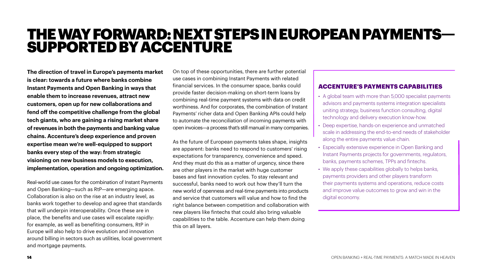### THE WAY FORWARD: NEXT STEPS IN EUROPEAN PAYMENTS— SUPPORTED BY ACCENTURE

**The direction of travel in Europe's payments market is clear: towards a future where banks combine Instant Payments and Open Banking in ways that enable them to increase revenues, attract new customers, open up for new collaborations and fend off the competitive challenge from the global tech giants, who are gaining a rising market share of revenues in both the payments and banking value chains. Accenture's deep experience and proven expertise mean we're well-equipped to support banks every step of the way: from strategic visioning on new business models to execution, implementation, operation and ongoing optimization.**

Real-world use cases for the combination of Instant Payments and Open Banking—such as RtP—are emerging apace. Collaboration is also on the rise at an industry level, as banks work together to develop and agree that standards that will underpin interoperability. Once these are in place, the benefits and use cases will escalate rapidly: for example, as well as benefiting consumers, RtP in Europe will also help to drive evolution and innovation around billing in sectors such as utilities, local government and mortgage payments.

On top of these opportunities, there are further potential use cases in combining Instant Payments with related financial services. In the consumer space, banks could provide faster decision-making on short-term loans by combining real-time payment systems with data on credit worthiness. And for corporates, the combination of Instant Payments' richer data and Open Banking APIs could help to automate the reconciliation of incoming payments with open invoices—a process that's still manual in many companies.

As the future of European payments takes shape, insights are apparent: banks need to respond to customers' rising expectations for transparency, convenience and speed. And they must do this as a matter of urgency, since there are other players in the market with huge customer bases and fast innovation cycles. To stay relevant and successful, banks need to work out how they'll turn the new world of openness and real-time payments into products and service that customers will value and how to find the right balance between competition and collaboration with new players like fintechs that could also bring valuable capabilities to the table. Accenture can help them doing this on all layers.

### ACCENTURE'S PAYMENTS CAPABILITIES

- A global team with more than 5,000 specialist payments advisors and payments systems integration specialists uniting strategy, business function consulting, digital technology and delivery execution know-how.
- Deep expertise, hands-on experience and unmatched scale in addressing the end-to-end needs of stakeholder along the entire payments value chain.
- Especially extensive experience in Open Banking and Instant Payments projects for governments, regulators, banks, payments schemes, TPPs and fintechs.
- We apply these capabilities globally to helps banks, payments providers and other players transform their payments systems and operations, reduce costs and improve value outcomes to grow and win in the digital economy.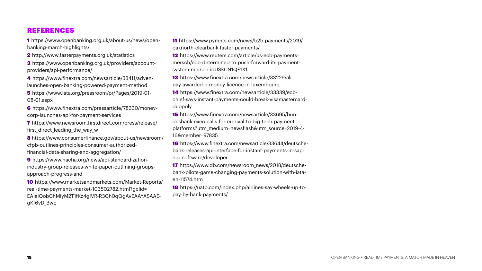### REFERENCES

1 [https://www.openbanking.org.uk/about-us/news/open](https://www.openbanking.org.uk/about-us/news/open-banking-march-highlights/)[banking-march-highlights/](https://www.openbanking.org.uk/about-us/news/open-banking-march-highlights/)

2 http://www.fasterpayments.org.uk/statistics

3 https://www.openbanking.org.uk/providers/accountproviders/api-performance/

4 https://www.finextra.com/newsarticle/33411/adyenlaunches-open-banking-powered-payment-method

5 [https://www.iata.org/pressroom/pr/Pages/2019-01-](https://www.iata.org/pressroom/pr/Pages/2019-01-08-01.aspx) [08-01.aspx](https://www.iata.org/pressroom/pr/Pages/2019-01-08-01.aspx)

6 https://www.finextra.com/pressarticle/78330/moneycorp-launches-api-for-payment-services

7 https://www.newsroom.firstdirect.com/press/release/ first direct leading the way w

8 https://www.consumerfinance.gov/about-us/newsroom/ cfpb-outlines-principles-consumer-authorizedfinancial-data-sharing-and-aggregation/

9 https://www.nacha.org/news/api-standardizationindustry-group-releases-white-paper-outlining-groupsapproach-progress-and

10 [https://www.marketsandmarkets.com/Market-Reports/](https://www.marketsandmarkets.com/Market-Reports/real-time-payments-market-103502782.html?gclid=EAIaIQobChMIyM2T1fKz4gIVR-R3Ch0qQgAvEAAYASAAEgKf6vD_BwE) [real-time-payments-market-103502782.html?gclid=](https://www.marketsandmarkets.com/Market-Reports/real-time-payments-market-103502782.html?gclid=EAIaIQobChMIyM2T1fKz4gIVR-R3Ch0qQgAvEAAYASAAEgKf6vD_BwE) [EAIaIQobChMIyM2T1fKz4gIVR-R3Ch0qQgAvEAAYASAAE](https://www.marketsandmarkets.com/Market-Reports/real-time-payments-market-103502782.html?gclid=EAIaIQobChMIyM2T1fKz4gIVR-R3Ch0qQgAvEAAYASAAEgKf6vD_BwE)[gKf6vD\\_BwE](https://www.marketsandmarkets.com/Market-Reports/real-time-payments-market-103502782.html?gclid=EAIaIQobChMIyM2T1fKz4gIVR-R3Ch0qQgAvEAAYASAAEgKf6vD_BwE)

11 https://www.pymnts.com/news/b2b-payments/2019/ oaknorth-clearbank-faster-payments/

12 https://www.reuters.com/article/us-ecb-paymentsmersch/ecb-determined-to-push-forward-its-paymentsystem-mersch-idUSKCN1QF1X1

13 https://www.finextra.com/newsarticle/33229/alipay-awarded-e-money-licence-in-luxembourg

14 https://www.finextra.com/newsarticle/33339/ecbchief-says-instant-payments-could-break-visamastercardduopoly

15 https://www.finextra.com/newsarticle/33695/bundesbank-exec-calls-for-eu-rival-to-big-tech-paymentplatforms?utm\_medium=newsflash&utm\_source=2019-4- 16&member=97835

16 https://www.finextra.com/newsarticle/33644/deutschebank-releases-api-interface-for-instant-payments-in-saperp-software/developer

17 https://www.db.com/newsroom\_news/2018/deutschebank-pilots-game-changing-payments-solution-with-iataen-11574.htm

18 https://uatp.com/index.php/airlines-say-wheels-up-topay-by-bank-payments/